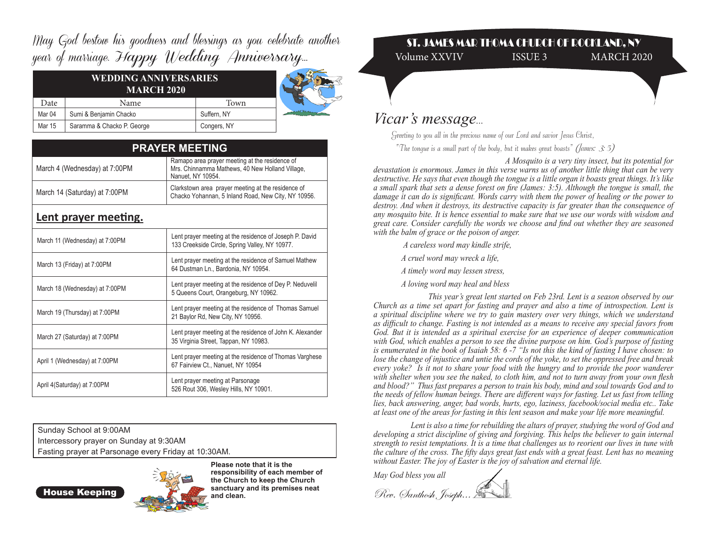May God bestow his goodness and blessings as you celebrate another year of marriage. Happy Wedding Anniversary...

| Date              | Name                       | Town        |  |
|-------------------|----------------------------|-------------|--|
| Mar <sub>04</sub> | Sumi & Benjamin Chacko     | Suffern, NY |  |
| Mar 15            | Saramma & Chacko P. George | Congers, NY |  |

| <b>PRAYER MEETING</b>          |                                                                                                                        |  |  |
|--------------------------------|------------------------------------------------------------------------------------------------------------------------|--|--|
| March 4 (Wednesday) at 7:00PM  | Ramapo area prayer meeting at the residence of<br>Mrs. Chinnamma Mathews, 40 New Holland Village,<br>Nanuet, NY 10954. |  |  |
| March 14 (Saturday) at 7:00PM  | Clarkstown area prayer meeting at the residence of<br>Chacko Yohannan, 5 Inland Road, New City, NY 10956.              |  |  |
| Lent prayer meeting.           |                                                                                                                        |  |  |
| March 11 (Wednesday) at 7:00PM | Lent prayer meeting at the residence of Joseph P. David<br>133 Creekside Circle, Spring Valley, NY 10977.              |  |  |
| March 13 (Friday) at 7:00PM    | Lent prayer meeting at the residence of Samuel Mathew<br>64 Dustman Ln., Bardonia, NY 10954.                           |  |  |
| March 18 (Wednesday) at 7:00PM | Lent prayer meeting at the residence of Dey P. Neduvelil<br>5 Queens Court, Orangeburg, NY 10962.                      |  |  |
| March 19 (Thursday) at 7:00PM  | Lent prayer meeting at the residence of Thomas Samuel<br>21 Baylor Rd, New City, NY 10956.                             |  |  |
| March 27 (Saturday) at 7:00PM  | Lent prayer meeting at the residence of John K. Alexander<br>35 Virginia Street, Tappan, NY 10983.                     |  |  |
| April 1 (Wednesday) at 7:00PM  | Lent prayer meeting at the residence of Thomas Varghese<br>67 Fairview Ct., Nanuet, NY 10954                           |  |  |
| April 4(Saturday) at 7:00PM    | Lent prayer meeting at Parsonage<br>526 Rout 306, Wesley Hills, NY 10901.                                              |  |  |

Sunday School at 9:00AM Intercessory prayer on Sunday at 9:30AM Fasting prayer at Parsonage every Friday at 10:30AM.



**Please note that it is the responsibility of each member of the Church to keep the Church** 

## ST. JAMES MAR THOMA CHURCH OF ROCKLAND, NY Volume XXVIV ISSUE 3 MARCH 2020

## *Vicar's message...*

*Greeting to you all in the precious name of our Lord and savior Jesus Christ, "The tongue is a small part of the body, but it makes great boasts" (James: 3: 5)*

*A Mosquito is a very tiny insect, but its potential for* 

*devastation is enormous. James in this verse warns us of another little thing that can be very destructive. He says that even though the tongue is a little organ it boasts great things. It's like a small spark that sets a dense forest on fire (James: 3:5). Although the tongue is small, the damage it can do is significant. Words carry with them the power of healing or the power to destroy. And when it destroys, its destructive capacity is far greater than the consequence of any mosquito bite. It is hence essential to make sure that we use our words with wisdom and great care. Consider carefully the words we choose and find out whether they are seasoned with the balm of grace or the poison of anger.* 

- *A careless word may kindle strife,*
- *A cruel word may wreck a life,*
- *A timely word may lessen stress,*
- *A loving word may heal and bless*

*This year's great lent started on Feb 23rd. Lent is a season observed by our Church as a time set apart for fasting and prayer and also a time of introspection. Lent is a spiritual discipline where we try to gain mastery over very things, which we understand as difficult to change. Fasting is not intended as a means to receive any special favors from God. But it is intended as a spiritual exercise for an experience of deeper communication with God, which enables a person to see the divine purpose on him. God's purpose of fasting is enumerated in the book of Isaiah 58: 6 -7 "Is not this the kind of fasting I have chosen: to lose the change of injustice and untie the cords of the yoke, to set the oppressed free and break every yoke? Is it not to share your food with the hungry and to provide the poor wanderer with shelter when you see the naked, to cloth him, and not to turn away from your own flesh and blood?" Thus fast prepares a person to train his body, mind and soul towards God and to the needs of fellow human beings. There are different ways for fasting. Let us fast from telling lies, back answering, anger, bad words, hurts, ego, laziness, facebook/social media etc.. Take at least one of the areas for fasting in this lent season and make your life more meaningful.* 

*Lent is also a time for rebuilding the altars of prayer, studying the word of God and developing a strict discipline of giving and forgiving. This helps the believer to gain internal strength to resist temptations. It is a time that challenges us to reorient our lives in tune with the culture of the cross. The fifty days great fast ends with a great feast. Lent has no meaning without Easter. The joy of Easter is the joy of salvation and eternal life.*

*May God bless you all*

Rev. Santhosh, Joseph...